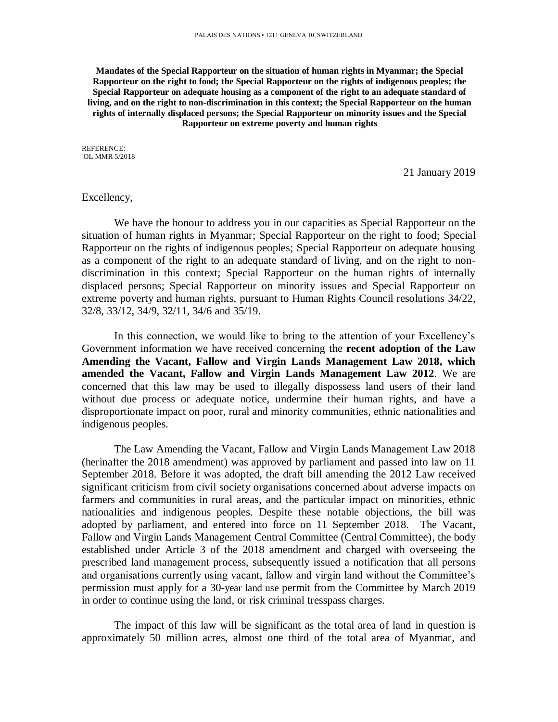**Mandates of the Special Rapporteur on the situation of human rights in Myanmar; the Special Rapporteur on the right to food; the Special Rapporteur on the rights of indigenous peoples; the Special Rapporteur on adequate housing as a component of the right to an adequate standard of living, and on the right to non-discrimination in this context; the Special Rapporteur on the human rights of internally displaced persons; the Special Rapporteur on minority issues and the Special Rapporteur on extreme poverty and human rights**

REFERENCE: OL MMR 5/2018

21 January 2019

### Excellency,

We have the honour to address you in our capacities as Special Rapporteur on the situation of human rights in Myanmar; Special Rapporteur on the right to food; Special Rapporteur on the rights of indigenous peoples; Special Rapporteur on adequate housing as a component of the right to an adequate standard of living, and on the right to nondiscrimination in this context; Special Rapporteur on the human rights of internally displaced persons; Special Rapporteur on minority issues and Special Rapporteur on extreme poverty and human rights, pursuant to Human Rights Council resolutions 34/22, 32/8, 33/12, 34/9, 32/11, 34/6 and 35/19.

In this connection, we would like to bring to the attention of your Excellency's Government information we have received concerning the **recent adoption of the Law Amending the Vacant, Fallow and Virgin Lands Management Law 2018, which amended the Vacant, Fallow and Virgin Lands Management Law 2012**. We are concerned that this law may be used to illegally dispossess land users of their land without due process or adequate notice, undermine their human rights, and have a disproportionate impact on poor, rural and minority communities, ethnic nationalities and indigenous peoples.

The Law Amending the Vacant, Fallow and Virgin Lands Management Law 2018 (herinafter the 2018 amendment) was approved by parliament and passed into law on 11 September 2018. Before it was adopted, the draft bill amending the 2012 Law received significant criticism from civil society organisations concerned about adverse impacts on farmers and communities in rural areas, and the particular impact on minorities, ethnic nationalities and indigenous peoples. Despite these notable objections, the bill was adopted by parliament, and entered into force on 11 September 2018. The Vacant, Fallow and Virgin Lands Management Central Committee (Central Committee), the body established under Article 3 of the 2018 amendment and charged with overseeing the prescribed land management process, subsequently issued a notification that all persons and organisations currently using vacant, fallow and virgin land without the Committee's permission must apply for a 30-year land use permit from the Committee by March 2019 in order to continue using the land, or risk criminal tresspass charges.

The impact of this law will be significant as the total area of land in question is approximately 50 million acres, almost one third of the total area of Myanmar, and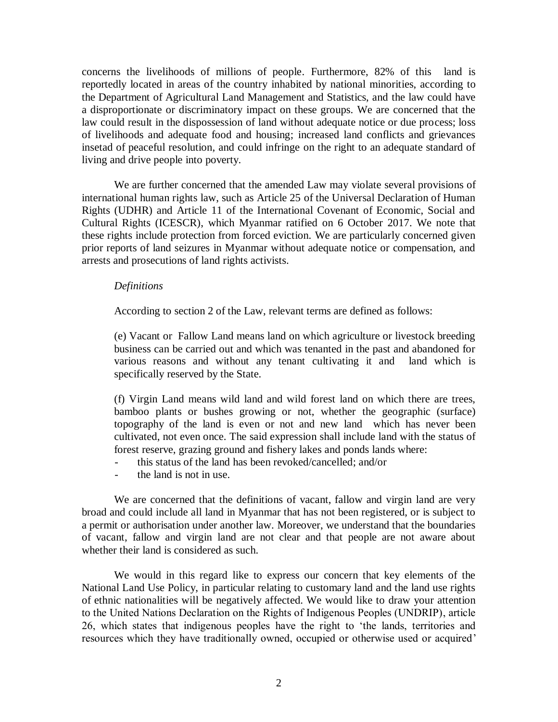concerns the livelihoods of millions of people. Furthermore, 82% of this land is reportedly located in areas of the country inhabited by national minorities, according to the Department of Agricultural Land Management and Statistics, and the law could have a disproportionate or discriminatory impact on these groups. We are concerned that the law could result in the dispossession of land without adequate notice or due process; loss of livelihoods and adequate food and housing; increased land conflicts and grievances insetad of peaceful resolution, and could infringe on the right to an adequate standard of living and drive people into poverty.

We are further concerned that the amended Law may violate several provisions of international human rights law, such as Article 25 of the Universal Declaration of Human Rights (UDHR) and Article 11 of the International Covenant of Economic, Social and Cultural Rights (ICESCR), which Myanmar ratified on 6 October 2017. We note that these rights include protection from forced eviction. We are particularly concerned given prior reports of land seizures in Myanmar without adequate notice or compensation, and arrests and prosecutions of land rights activists.

#### *Definitions*

According to section 2 of the Law, relevant terms are defined as follows:

(e) Vacant or Fallow Land means land on which agriculture or livestock breeding business can be carried out and which was tenanted in the past and abandoned for various reasons and without any tenant cultivating it and land which is specifically reserved by the State.

(f) Virgin Land means wild land and wild forest land on which there are trees, bamboo plants or bushes growing or not, whether the geographic (surface) topography of the land is even or not and new land which has never been cultivated, not even once. The said expression shall include land with the status of forest reserve, grazing ground and fishery lakes and ponds lands where:

- this status of the land has been revoked/cancelled; and/or
- the land is not in use.

We are concerned that the definitions of vacant, fallow and virgin land are very broad and could include all land in Myanmar that has not been registered, or is subject to a permit or authorisation under another law. Moreover, we understand that the boundaries of vacant, fallow and virgin land are not clear and that people are not aware about whether their land is considered as such.

We would in this regard like to express our concern that key elements of the National Land Use Policy, in particular relating to customary land and the land use rights of ethnic nationalities will be negatively affected. We would like to draw your attention to the United Nations Declaration on the Rights of Indigenous Peoples (UNDRIP), article 26, which states that indigenous peoples have the right to 'the lands, territories and resources which they have traditionally owned, occupied or otherwise used or acquired'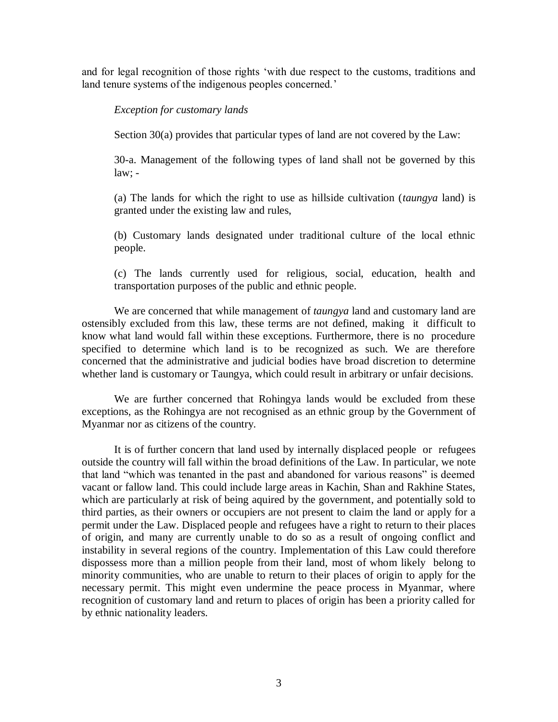and for legal recognition of those rights 'with due respect to the customs, traditions and land tenure systems of the indigenous peoples concerned.'

# *Exception for customary lands*

Section 30(a) provides that particular types of land are not covered by the Law:

30-a. Management of the following types of land shall not be governed by this  $law: -$ 

(a) The lands for which the right to use as hillside cultivation (*taungya* land) is granted under the existing law and rules,

(b) Customary lands designated under traditional culture of the local ethnic people.

(c) The lands currently used for religious, social, education, health and transportation purposes of the public and ethnic people.

We are concerned that while management of *taungya* land and customary land are ostensibly excluded from this law, these terms are not defined, making it difficult to know what land would fall within these exceptions. Furthermore, there is no procedure specified to determine which land is to be recognized as such. We are therefore concerned that the administrative and judicial bodies have broad discretion to determine whether land is customary or Taungya, which could result in arbitrary or unfair decisions.

We are further concerned that Rohingya lands would be excluded from these exceptions, as the Rohingya are not recognised as an ethnic group by the Government of Myanmar nor as citizens of the country.

It is of further concern that land used by internally displaced people or refugees outside the country will fall within the broad definitions of the Law. In particular, we note that land "which was tenanted in the past and abandoned for various reasons" is deemed vacant or fallow land. This could include large areas in Kachin, Shan and Rakhine States, which are particularly at risk of being aquired by the government, and potentially sold to third parties, as their owners or occupiers are not present to claim the land or apply for a permit under the Law. Displaced people and refugees have a right to return to their places of origin, and many are currently unable to do so as a result of ongoing conflict and instability in several regions of the country. Implementation of this Law could therefore dispossess more than a million people from their land, most of whom likely belong to minority communities, who are unable to return to their places of origin to apply for the necessary permit. This might even undermine the peace process in Myanmar, where recognition of customary land and return to places of origin has been a priority called for by ethnic nationality leaders.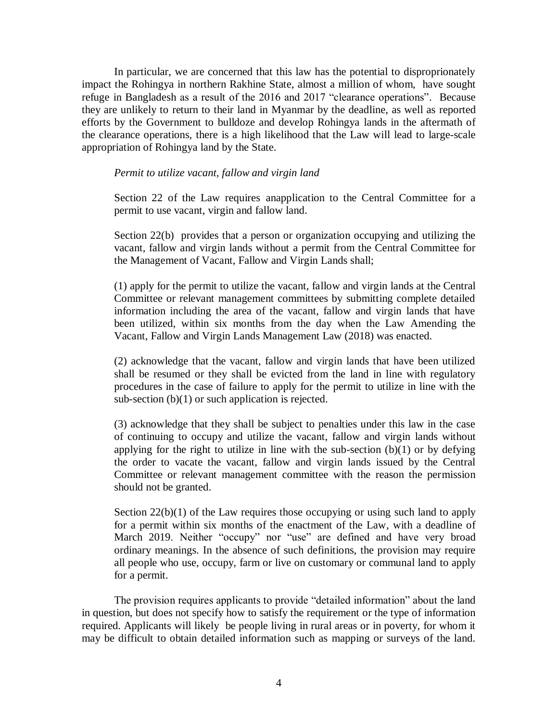In particular, we are concerned that this law has the potential to disproprionately impact the Rohingya in northern Rakhine State, almost a million of whom, have sought refuge in Bangladesh as a result of the 2016 and 2017 "clearance operations". Because they are unlikely to return to their land in Myanmar by the deadline, as well as reported efforts by the Government to bulldoze and develop Rohingya lands in the aftermath of the clearance operations, there is a high likelihood that the Law will lead to large-scale appropriation of Rohingya land by the State.

## *Permit to utilize vacant, fallow and virgin land*

Section 22 of the Law requires anapplication to the Central Committee for a permit to use vacant, virgin and fallow land.

Section 22(b) provides that a person or organization occupying and utilizing the vacant, fallow and virgin lands without a permit from the Central Committee for the Management of Vacant, Fallow and Virgin Lands shall;

(1) apply for the permit to utilize the vacant, fallow and virgin lands at the Central Committee or relevant management committees by submitting complete detailed information including the area of the vacant, fallow and virgin lands that have been utilized, within six months from the day when the Law Amending the Vacant, Fallow and Virgin Lands Management Law (2018) was enacted.

(2) acknowledge that the vacant, fallow and virgin lands that have been utilized shall be resumed or they shall be evicted from the land in line with regulatory procedures in the case of failure to apply for the permit to utilize in line with the sub-section (b)(1) or such application is rejected.

(3) acknowledge that they shall be subject to penalties under this law in the case of continuing to occupy and utilize the vacant, fallow and virgin lands without applying for the right to utilize in line with the sub-section  $(b)(1)$  or by defying the order to vacate the vacant, fallow and virgin lands issued by the Central Committee or relevant management committee with the reason the permission should not be granted.

Section 22(b)(1) of the Law requires those occupying or using such land to apply for a permit within six months of the enactment of the Law, with a deadline of March 2019. Neither "occupy" nor "use" are defined and have very broad ordinary meanings. In the absence of such definitions, the provision may require all people who use, occupy, farm or live on customary or communal land to apply for a permit.

The provision requires applicants to provide "detailed information" about the land in question, but does not specify how to satisfy the requirement or the type of information required. Applicants will likely be people living in rural areas or in poverty, for whom it may be difficult to obtain detailed information such as mapping or surveys of the land.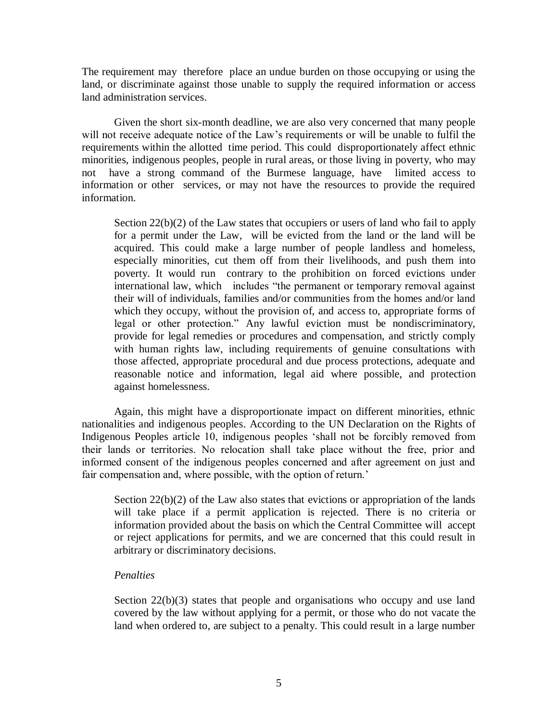The requirement may therefore place an undue burden on those occupying or using the land, or discriminate against those unable to supply the required information or access land administration services.

Given the short six-month deadline, we are also very concerned that many people will not receive adequate notice of the Law's requirements or will be unable to fulfil the requirements within the allotted time period. This could disproportionately affect ethnic minorities, indigenous peoples, people in rural areas, or those living in poverty, who may not have a strong command of the Burmese language, have limited access to information or other services, or may not have the resources to provide the required information.

Section 22(b)(2) of the Law states that occupiers or users of land who fail to apply for a permit under the Law, will be evicted from the land or the land will be acquired. This could make a large number of people landless and homeless, especially minorities, cut them off from their livelihoods, and push them into poverty. It would run contrary to the prohibition on forced evictions under international law, which includes "the permanent or temporary removal against their will of individuals, families and/or communities from the homes and/or land which they occupy, without the provision of, and access to, appropriate forms of legal or other protection." Any lawful eviction must be nondiscriminatory, provide for legal remedies or procedures and compensation, and strictly comply with human rights law, including requirements of genuine consultations with those affected, appropriate procedural and due process protections, adequate and reasonable notice and information, legal aid where possible, and protection against homelessness.

Again, this might have a disproportionate impact on different minorities, ethnic nationalities and indigenous peoples. According to the UN Declaration on the Rights of Indigenous Peoples article 10, indigenous peoples 'shall not be forcibly removed from their lands or territories. No relocation shall take place without the free, prior and informed consent of the indigenous peoples concerned and after agreement on just and fair compensation and, where possible, with the option of return.'

Section 22(b)(2) of the Law also states that evictions or appropriation of the lands will take place if a permit application is rejected. There is no criteria or information provided about the basis on which the Central Committee will accept or reject applications for permits, and we are concerned that this could result in arbitrary or discriminatory decisions.

### *Penalties*

Section 22(b)(3) states that people and organisations who occupy and use land covered by the law without applying for a permit, or those who do not vacate the land when ordered to, are subject to a penalty. This could result in a large number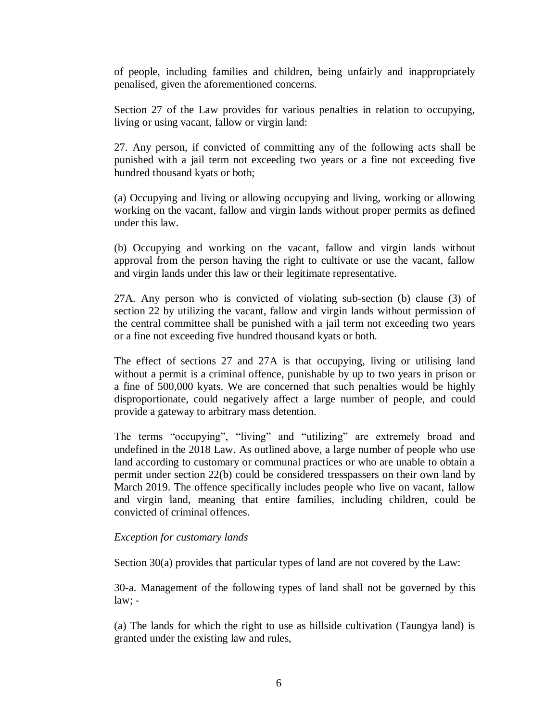of people, including families and children, being unfairly and inappropriately penalised, given the aforementioned concerns.

Section 27 of the Law provides for various penalties in relation to occupying, living or using vacant, fallow or virgin land:

27. Any person, if convicted of committing any of the following acts shall be punished with a jail term not exceeding two years or a fine not exceeding five hundred thousand kyats or both;

(a) Occupying and living or allowing occupying and living, working or allowing working on the vacant, fallow and virgin lands without proper permits as defined under this law.

(b) Occupying and working on the vacant, fallow and virgin lands without approval from the person having the right to cultivate or use the vacant, fallow and virgin lands under this law or their legitimate representative.

27A. Any person who is convicted of violating sub-section (b) clause (3) of section 22 by utilizing the vacant, fallow and virgin lands without permission of the central committee shall be punished with a jail term not exceeding two years or a fine not exceeding five hundred thousand kyats or both.

The effect of sections 27 and 27A is that occupying, living or utilising land without a permit is a criminal offence, punishable by up to two years in prison or a fine of 500,000 kyats. We are concerned that such penalties would be highly disproportionate, could negatively affect a large number of people, and could provide a gateway to arbitrary mass detention.

The terms "occupying", "living" and "utilizing" are extremely broad and undefined in the 2018 Law. As outlined above, a large number of people who use land according to customary or communal practices or who are unable to obtain a permit under section 22(b) could be considered tresspassers on their own land by March 2019. The offence specifically includes people who live on vacant, fallow and virgin land, meaning that entire families, including children, could be convicted of criminal offences.

### *Exception for customary lands*

Section 30(a) provides that particular types of land are not covered by the Law:

30-a. Management of the following types of land shall not be governed by this law; -

(a) The lands for which the right to use as hillside cultivation (Taungya land) is granted under the existing law and rules,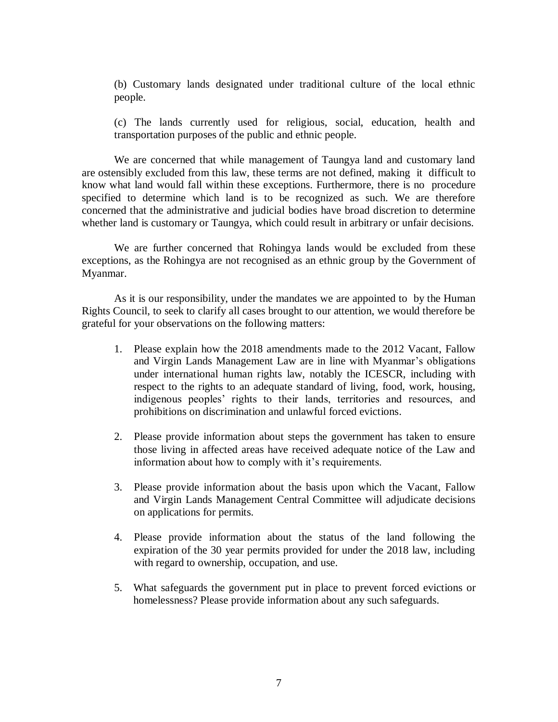(b) Customary lands designated under traditional culture of the local ethnic people.

(c) The lands currently used for religious, social, education, health and transportation purposes of the public and ethnic people.

We are concerned that while management of Taungya land and customary land are ostensibly excluded from this law, these terms are not defined, making it difficult to know what land would fall within these exceptions. Furthermore, there is no procedure specified to determine which land is to be recognized as such. We are therefore concerned that the administrative and judicial bodies have broad discretion to determine whether land is customary or Taungya, which could result in arbitrary or unfair decisions.

We are further concerned that Rohingya lands would be excluded from these exceptions, as the Rohingya are not recognised as an ethnic group by the Government of Myanmar.

As it is our responsibility, under the mandates we are appointed to by the Human Rights Council, to seek to clarify all cases brought to our attention, we would therefore be grateful for your observations on the following matters:

- 1. Please explain how the 2018 amendments made to the 2012 Vacant, Fallow and Virgin Lands Management Law are in line with Myanmar's obligations under international human rights law, notably the ICESCR, including with respect to the rights to an adequate standard of living, food, work, housing, indigenous peoples' rights to their lands, territories and resources, and prohibitions on discrimination and unlawful forced evictions.
- 2. Please provide information about steps the government has taken to ensure those living in affected areas have received adequate notice of the Law and information about how to comply with it's requirements.
- 3. Please provide information about the basis upon which the Vacant, Fallow and Virgin Lands Management Central Committee will adjudicate decisions on applications for permits.
- 4. Please provide information about the status of the land following the expiration of the 30 year permits provided for under the 2018 law, including with regard to ownership, occupation, and use.
- 5. What safeguards the government put in place to prevent forced evictions or homelessness? Please provide information about any such safeguards.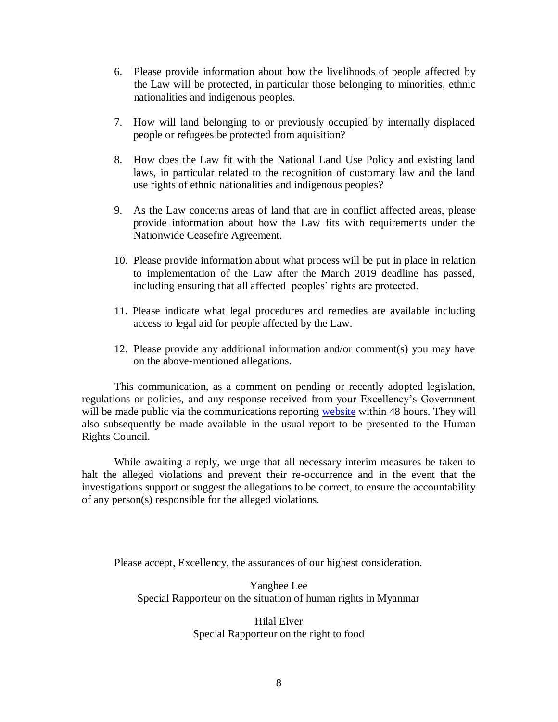- 6. Please provide information about how the livelihoods of people affected by the Law will be protected, in particular those belonging to minorities, ethnic nationalities and indigenous peoples.
- 7. How will land belonging to or previously occupied by internally displaced people or refugees be protected from aquisition?
- 8. How does the Law fit with the National Land Use Policy and existing land laws, in particular related to the recognition of customary law and the land use rights of ethnic nationalities and indigenous peoples?
- 9. As the Law concerns areas of land that are in conflict affected areas, please provide information about how the Law fits with requirements under the Nationwide Ceasefire Agreement.
- 10. Please provide information about what process will be put in place in relation to implementation of the Law after the March 2019 deadline has passed, including ensuring that all affected peoples' rights are protected.
- 11. Please indicate what legal procedures and remedies are available including access to legal aid for people affected by the Law.
- 12. Please provide any additional information and/or comment(s) you may have on the above-mentioned allegations.

This communication, as a comment on pending or recently adopted legislation, regulations or policies, and any response received from your Excellency's Government will be made public via the communications reporting [website](https://spcommreports.ohchr.org/) within 48 hours. They will also subsequently be made available in the usual report to be presented to the Human Rights Council.

While awaiting a reply, we urge that all necessary interim measures be taken to halt the alleged violations and prevent their re-occurrence and in the event that the investigations support or suggest the allegations to be correct, to ensure the accountability of any person(s) responsible for the alleged violations.

Please accept, Excellency, the assurances of our highest consideration.

Yanghee Lee Special Rapporteur on the situation of human rights in Myanmar

# Hilal Elver Special Rapporteur on the right to food